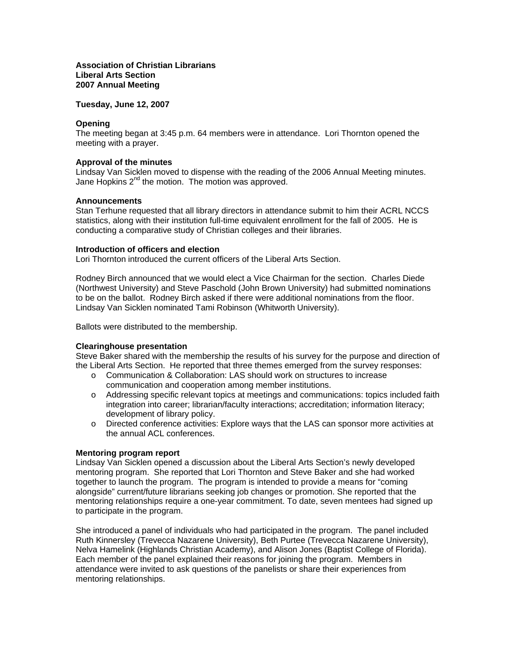# **Association of Christian Librarians Liberal Arts Section 2007 Annual Meeting**

**Tuesday, June 12, 2007** 

# **Opening**

The meeting began at 3:45 p.m. 64 members were in attendance. Lori Thornton opened the meeting with a prayer.

#### **Approval of the minutes**

Lindsay Van Sicklen moved to dispense with the reading of the 2006 Annual Meeting minutes. Jane Hopkins  $2^{nd}$  the motion. The motion was approved.

#### **Announcements**

Stan Terhune requested that all library directors in attendance submit to him their ACRL NCCS statistics, along with their institution full-time equivalent enrollment for the fall of 2005. He is conducting a comparative study of Christian colleges and their libraries.

#### **Introduction of officers and election**

Lori Thornton introduced the current officers of the Liberal Arts Section.

Rodney Birch announced that we would elect a Vice Chairman for the section. Charles Diede (Northwest University) and Steve Paschold (John Brown University) had submitted nominations to be on the ballot. Rodney Birch asked if there were additional nominations from the floor. Lindsay Van Sicklen nominated Tami Robinson (Whitworth University).

Ballots were distributed to the membership.

# **Clearinghouse presentation**

Steve Baker shared with the membership the results of his survey for the purpose and direction of the Liberal Arts Section. He reported that three themes emerged from the survey responses:

- o Communication & Collaboration: LAS should work on structures to increase communication and cooperation among member institutions.
- o Addressing specific relevant topics at meetings and communications: topics included faith integration into career; librarian/faculty interactions; accreditation; information literacy; development of library policy.
- o Directed conference activities: Explore ways that the LAS can sponsor more activities at the annual ACL conferences.

#### **Mentoring program report**

Lindsay Van Sicklen opened a discussion about the Liberal Arts Section's newly developed mentoring program. She reported that Lori Thornton and Steve Baker and she had worked together to launch the program. The program is intended to provide a means for "coming alongside" current/future librarians seeking job changes or promotion. She reported that the mentoring relationships require a one-year commitment. To date, seven mentees had signed up to participate in the program.

She introduced a panel of individuals who had participated in the program. The panel included Ruth Kinnersley (Trevecca Nazarene University), Beth Purtee (Trevecca Nazarene University), Nelva Hamelink (Highlands Christian Academy), and Alison Jones (Baptist College of Florida). Each member of the panel explained their reasons for joining the program. Members in attendance were invited to ask questions of the panelists or share their experiences from mentoring relationships.